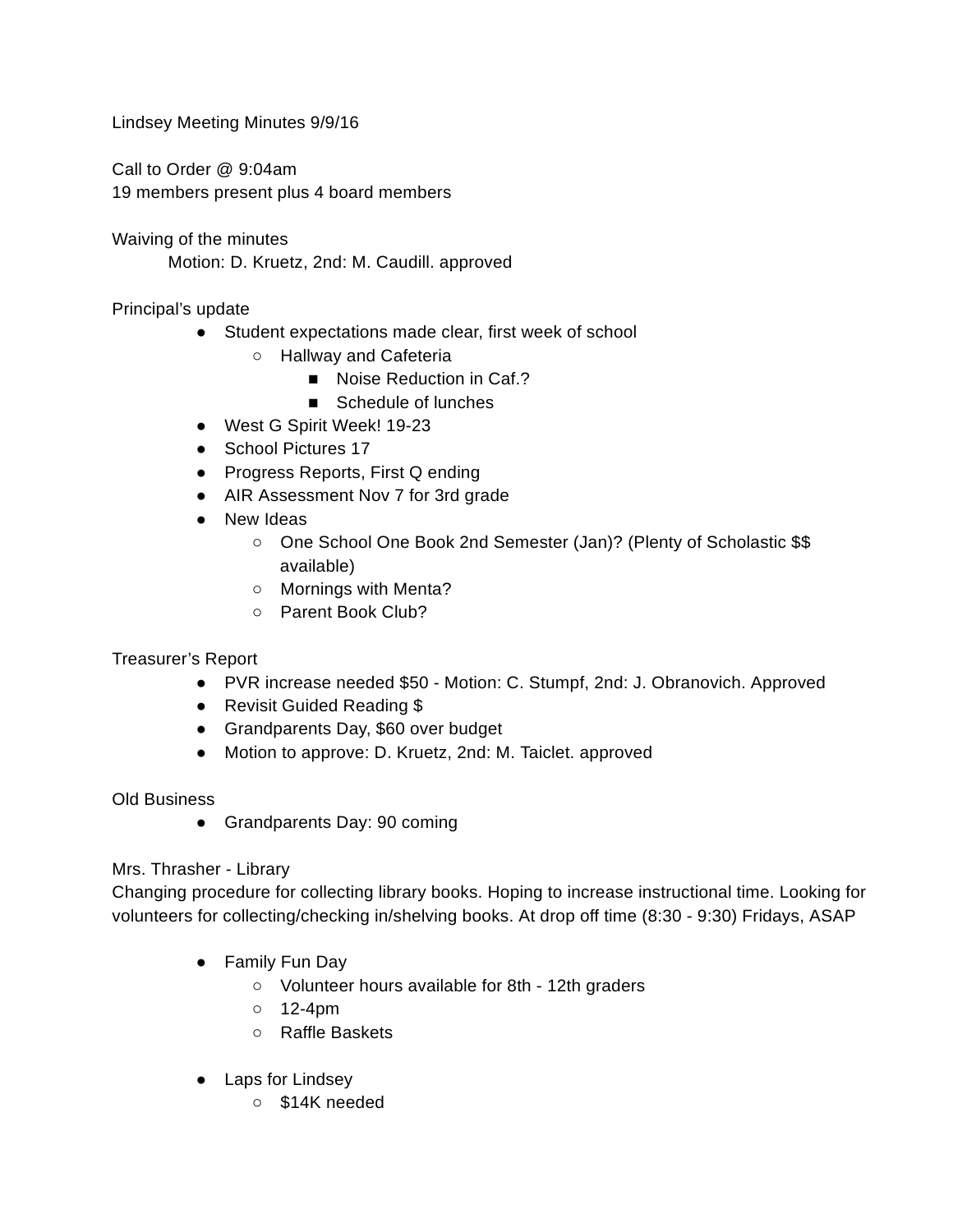Lindsey Meeting Minutes 9/9/16

Call to Order @ 9:04am 19 members present plus 4 board members

Waiving of the minutes Motion: D. Kruetz, 2nd: M. Caudill. approved

Principal's update

- Student expectations made clear, first week of school
	- Hallway and Cafeteria
		- Noise Reduction in Caf.?
		- Schedule of lunches
- West G Spirit Week! 19-23
- School Pictures 17
- Progress Reports, First Q ending
- AIR Assessment Nov 7 for 3rd grade
- New Ideas
	- One School One Book 2nd Semester (Jan)? (Plenty of Scholastic \$\$ available)
	- Mornings with Menta?
	- Parent Book Club?

## Treasurer's Report

- PVR increase needed \$50 Motion: C. Stumpf, 2nd: J. Obranovich. Approved
- Revisit Guided Reading \$
- Grandparents Day, \$60 over budget
- Motion to approve: D. Kruetz, 2nd: M. Taiclet. approved

## Old Business

• Grandparents Day: 90 coming

## Mrs. Thrasher - Library

Changing procedure for collecting library books. Hoping to increase instructional time. Looking for volunteers for collecting/checking in/shelving books. At drop off time (8:30 - 9:30) Fridays, ASAP

- Family Fun Day
	- Volunteer hours available for 8th 12th graders
	- $\circ$  12-4pm
	- Raffle Baskets
- Laps for Lindsey
	- \$14K needed